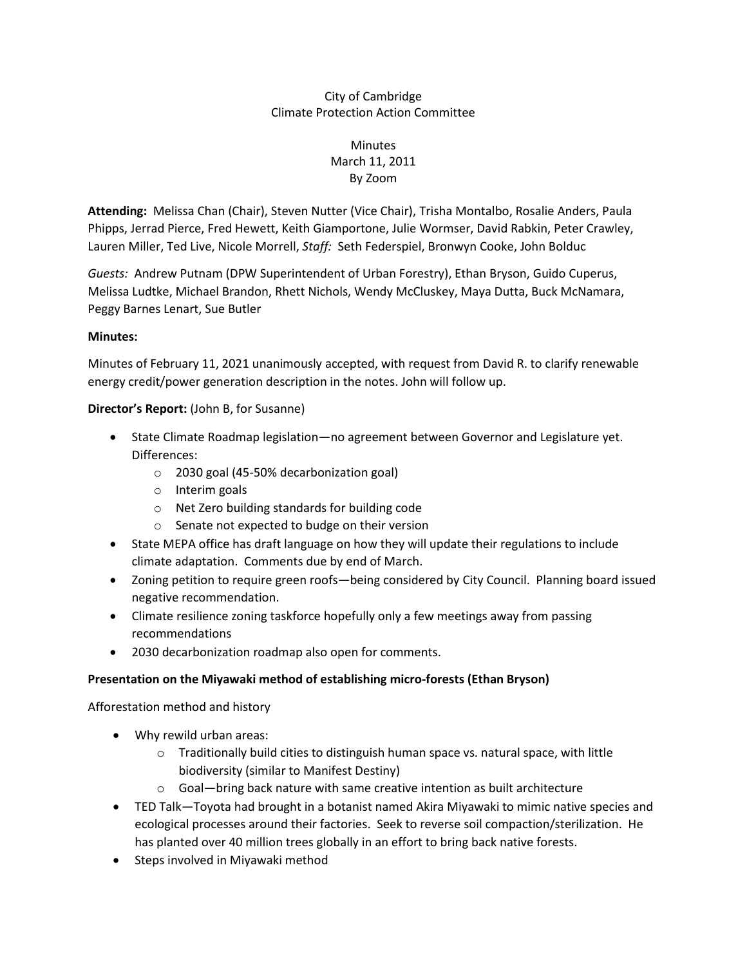### City of Cambridge Climate Protection Action Committee

## **Minutes** March 11, 2011 By Zoom

**Attending:** Melissa Chan (Chair), Steven Nutter (Vice Chair), Trisha Montalbo, Rosalie Anders, Paula Phipps, Jerrad Pierce, Fred Hewett, Keith Giamportone, Julie Wormser, David Rabkin, Peter Crawley, Lauren Miller, Ted Live, Nicole Morrell, *Staff:* Seth Federspiel, Bronwyn Cooke, John Bolduc

*Guests:* Andrew Putnam (DPW Superintendent of Urban Forestry), Ethan Bryson, Guido Cuperus, Melissa Ludtke, Michael Brandon, Rhett Nichols, Wendy McCluskey, Maya Dutta, Buck McNamara, Peggy Barnes Lenart, Sue Butler

#### **Minutes:**

Minutes of February 11, 2021 unanimously accepted, with request from David R. to clarify renewable energy credit/power generation description in the notes. John will follow up.

### **Director's Report:** (John B, for Susanne)

- State Climate Roadmap legislation—no agreement between Governor and Legislature yet. Differences:
	- o 2030 goal (45-50% decarbonization goal)
	- o Interim goals
	- o Net Zero building standards for building code
	- o Senate not expected to budge on their version
- State MEPA office has draft language on how they will update their regulations to include climate adaptation. Comments due by end of March.
- Zoning petition to require green roofs—being considered by City Council. Planning board issued negative recommendation.
- Climate resilience zoning taskforce hopefully only a few meetings away from passing recommendations
- 2030 decarbonization roadmap also open for comments.

### **Presentation on the Miyawaki method of establishing micro-forests (Ethan Bryson)**

Afforestation method and history

- Why rewild urban areas:
	- $\circ$  Traditionally build cities to distinguish human space vs. natural space, with little biodiversity (similar to Manifest Destiny)
	- $\circ$  Goal—bring back nature with same creative intention as built architecture
- TED Talk—Toyota had brought in a botanist named Akira Miyawaki to mimic native species and ecological processes around their factories. Seek to reverse soil compaction/sterilization. He has planted over 40 million trees globally in an effort to bring back native forests.
- Steps involved in Miyawaki method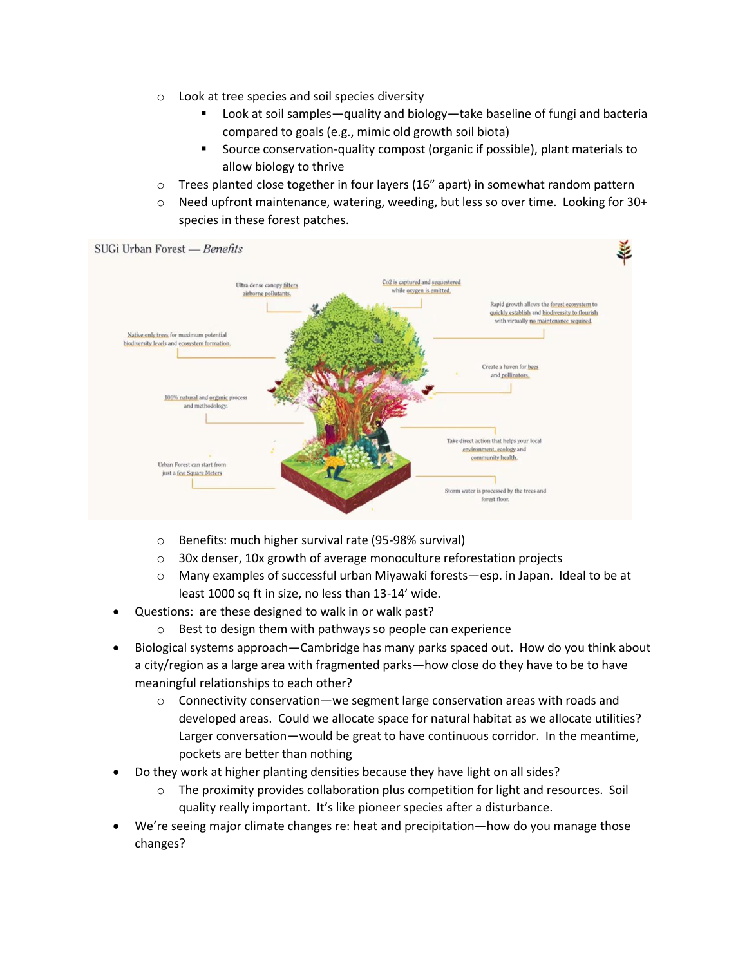- o Look at tree species and soil species diversity
	- Look at soil samples—quality and biology—take baseline of fungi and bacteria compared to goals (e.g., mimic old growth soil biota)
	- Source conservation-quality compost (organic if possible), plant materials to allow biology to thrive
- $\circ$  Trees planted close together in four layers (16" apart) in somewhat random pattern
- $\circ$  Need upfront maintenance, watering, weeding, but less so over time. Looking for 30+ species in these forest patches.



- o Benefits: much higher survival rate (95-98% survival)
- o 30x denser, 10x growth of average monoculture reforestation projects
- o Many examples of successful urban Miyawaki forests—esp. in Japan. Ideal to be at least 1000 sq ft in size, no less than 13-14' wide.
- Questions: are these designed to walk in or walk past?
	- Best to design them with pathways so people can experience
- Biological systems approach—Cambridge has many parks spaced out. How do you think about a city/region as a large area with fragmented parks—how close do they have to be to have meaningful relationships to each other?
	- $\circ$  Connectivity conservation—we segment large conservation areas with roads and developed areas. Could we allocate space for natural habitat as we allocate utilities? Larger conversation—would be great to have continuous corridor. In the meantime, pockets are better than nothing
- Do they work at higher planting densities because they have light on all sides?
	- o The proximity provides collaboration plus competition for light and resources. Soil quality really important. It's like pioneer species after a disturbance.
- We're seeing major climate changes re: heat and precipitation—how do you manage those changes?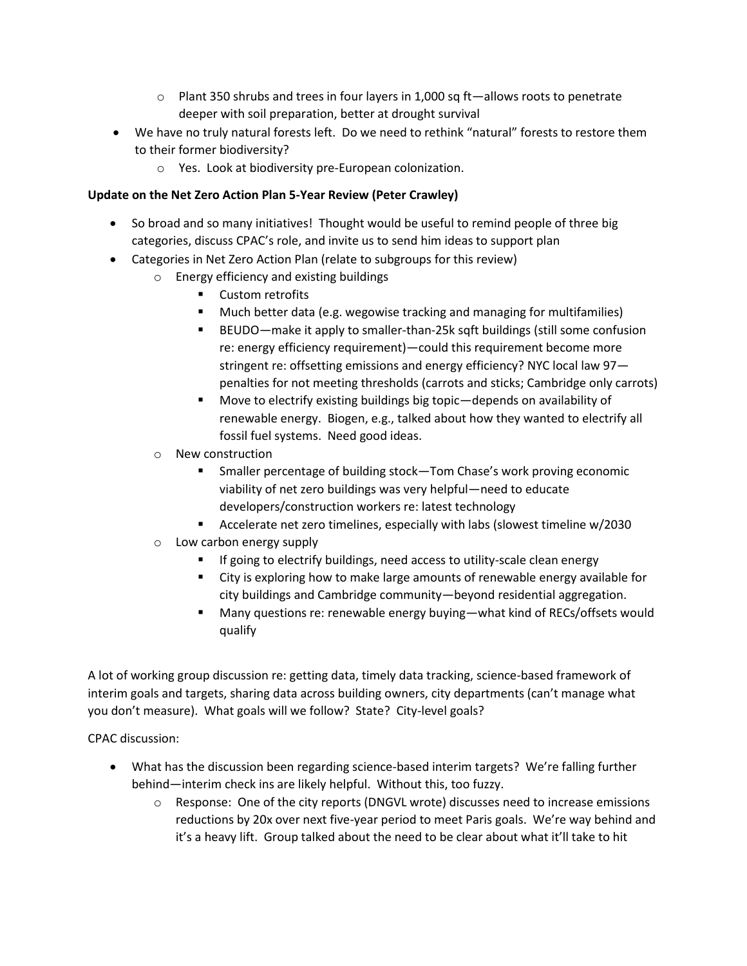- $\circ$  Plant 350 shrubs and trees in four layers in 1,000 sq ft—allows roots to penetrate deeper with soil preparation, better at drought survival
- We have no truly natural forests left. Do we need to rethink "natural" forests to restore them to their former biodiversity?
	- o Yes. Look at biodiversity pre-European colonization.

## **Update on the Net Zero Action Plan 5-Year Review (Peter Crawley)**

- So broad and so many initiatives! Thought would be useful to remind people of three big categories, discuss CPAC's role, and invite us to send him ideas to support plan
- Categories in Net Zero Action Plan (relate to subgroups for this review)
	- o Energy efficiency and existing buildings
		- Custom retrofits
		- Much better data (e.g. wegowise tracking and managing for multifamilies)
		- BEUDO—make it apply to smaller-than-25k sqft buildings (still some confusion re: energy efficiency requirement)—could this requirement become more stringent re: offsetting emissions and energy efficiency? NYC local law 97 penalties for not meeting thresholds (carrots and sticks; Cambridge only carrots)
		- Move to electrify existing buildings big topic—depends on availability of renewable energy. Biogen, e.g., talked about how they wanted to electrify all fossil fuel systems. Need good ideas.
		- o New construction
			- Smaller percentage of building stock—Tom Chase's work proving economic viability of net zero buildings was very helpful—need to educate developers/construction workers re: latest technology
			- Accelerate net zero timelines, especially with labs (slowest timeline w/2030
		- o Low carbon energy supply
			- If going to electrify buildings, need access to utility-scale clean energy
			- City is exploring how to make large amounts of renewable energy available for city buildings and Cambridge community—beyond residential aggregation.
			- Many questions re: renewable energy buying—what kind of RECs/offsets would qualify

A lot of working group discussion re: getting data, timely data tracking, science-based framework of interim goals and targets, sharing data across building owners, city departments (can't manage what you don't measure). What goals will we follow? State? City-level goals?

CPAC discussion:

- What has the discussion been regarding science-based interim targets? We're falling further behind—interim check ins are likely helpful. Without this, too fuzzy.
	- $\circ$  Response: One of the city reports (DNGVL wrote) discusses need to increase emissions reductions by 20x over next five-year period to meet Paris goals. We're way behind and it's a heavy lift. Group talked about the need to be clear about what it'll take to hit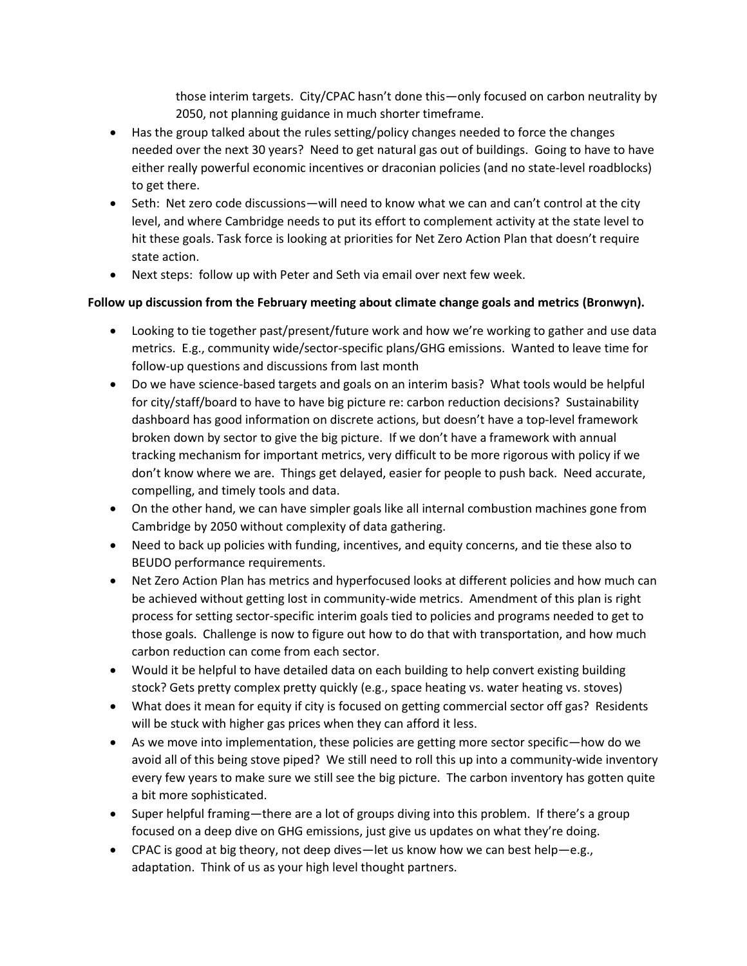those interim targets. City/CPAC hasn't done this—only focused on carbon neutrality by 2050, not planning guidance in much shorter timeframe.

- Has the group talked about the rules setting/policy changes needed to force the changes needed over the next 30 years? Need to get natural gas out of buildings. Going to have to have either really powerful economic incentives or draconian policies (and no state-level roadblocks) to get there.
- Seth: Net zero code discussions—will need to know what we can and can't control at the city level, and where Cambridge needs to put its effort to complement activity at the state level to hit these goals. Task force is looking at priorities for Net Zero Action Plan that doesn't require state action.
- Next steps: follow up with Peter and Seth via email over next few week.

# **Follow up discussion from the February meeting about climate change goals and metrics (Bronwyn).**

- Looking to tie together past/present/future work and how we're working to gather and use data metrics. E.g., community wide/sector-specific plans/GHG emissions. Wanted to leave time for follow-up questions and discussions from last month
- Do we have science-based targets and goals on an interim basis? What tools would be helpful for city/staff/board to have to have big picture re: carbon reduction decisions? Sustainability dashboard has good information on discrete actions, but doesn't have a top-level framework broken down by sector to give the big picture. If we don't have a framework with annual tracking mechanism for important metrics, very difficult to be more rigorous with policy if we don't know where we are. Things get delayed, easier for people to push back. Need accurate, compelling, and timely tools and data.
- On the other hand, we can have simpler goals like all internal combustion machines gone from Cambridge by 2050 without complexity of data gathering.
- Need to back up policies with funding, incentives, and equity concerns, and tie these also to BEUDO performance requirements.
- Net Zero Action Plan has metrics and hyperfocused looks at different policies and how much can be achieved without getting lost in community-wide metrics. Amendment of this plan is right process for setting sector-specific interim goals tied to policies and programs needed to get to those goals. Challenge is now to figure out how to do that with transportation, and how much carbon reduction can come from each sector.
- Would it be helpful to have detailed data on each building to help convert existing building stock? Gets pretty complex pretty quickly (e.g., space heating vs. water heating vs. stoves)
- What does it mean for equity if city is focused on getting commercial sector off gas? Residents will be stuck with higher gas prices when they can afford it less.
- As we move into implementation, these policies are getting more sector specific—how do we avoid all of this being stove piped? We still need to roll this up into a community-wide inventory every few years to make sure we still see the big picture. The carbon inventory has gotten quite a bit more sophisticated.
- Super helpful framing—there are a lot of groups diving into this problem. If there's a group focused on a deep dive on GHG emissions, just give us updates on what they're doing.
- CPAC is good at big theory, not deep dives—let us know how we can best help—e.g., adaptation. Think of us as your high level thought partners.